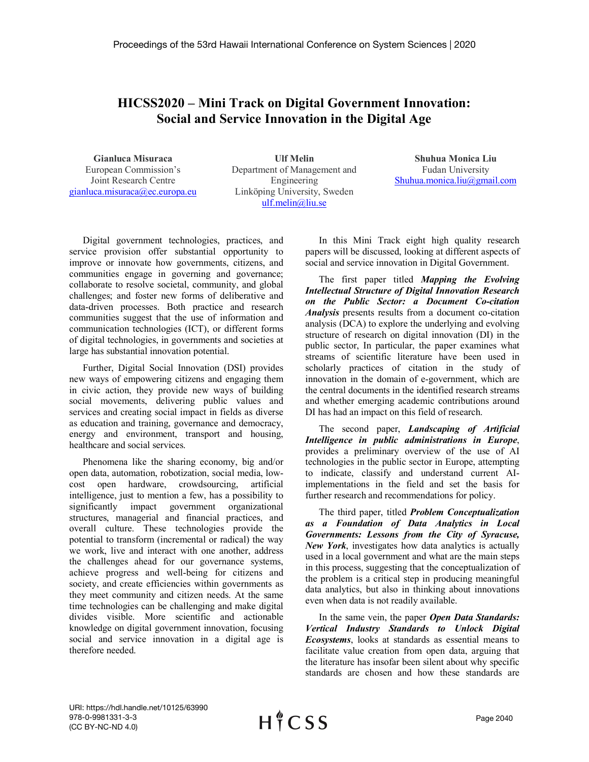## **HICSS2020 – Mini Track on Digital Government Innovation: Social and Service Innovation in the Digital Age**

**Gianluca Misuraca** European Commission's Joint Research Centre gianluca.misuraca@ec.europa.eu

**Ulf Melin** Department of Management and Engineering Linköping University, Sweden ulf.melin@liu.se

**Shuhua Monica Liu** Fudan University Shuhua.monica.liu@gmail.com

Digital government technologies, practices, and service provision offer substantial opportunity to improve or innovate how governments, citizens, and communities engage in governing and governance; collaborate to resolve societal, community, and global challenges; and foster new forms of deliberative and data-driven processes. Both practice and research communities suggest that the use of information and communication technologies (ICT), or different forms of digital technologies, in governments and societies at large has substantial innovation potential.

Further, Digital Social Innovation (DSI) provides new ways of empowering citizens and engaging them in civic action, they provide new ways of building social movements, delivering public values and services and creating social impact in fields as diverse as education and training, governance and democracy, energy and environment, transport and housing, healthcare and social services.

Phenomena like the sharing economy, big and/or open data, automation, robotization, social media, lowcost open hardware, crowdsourcing, artificial intelligence, just to mention a few, has a possibility to significantly impact government organizational structures, managerial and financial practices, and overall culture. These technologies provide the potential to transform (incremental or radical) the way we work, live and interact with one another, address the challenges ahead for our governance systems, achieve progress and well-being for citizens and society, and create efficiencies within governments as they meet community and citizen needs. At the same time technologies can be challenging and make digital divides visible. More scientific and actionable knowledge on digital government innovation, focusing social and service innovation in a digital age is therefore needed.

In this Mini Track eight high quality research papers will be discussed, looking at different aspects of social and service innovation in Digital Government.

The first paper titled *Mapping the Evolving Intellectual Structure of Digital Innovation Research on the Public Sector: a Document Co-citation Analysis* presents results from a document co-citation analysis (DCA) to explore the underlying and evolving structure of research on digital innovation (DI) in the public sector, In particular, the paper examines what streams of scientific literature have been used in scholarly practices of citation in the study of innovation in the domain of e-government, which are the central documents in the identified research streams and whether emerging academic contributions around DI has had an impact on this field of research.

The second paper, *Landscaping of Artificial Intelligence in public administrations in Europe*, provides a preliminary overview of the use of AI technologies in the public sector in Europe, attempting to indicate, classify and understand current AIimplementations in the field and set the basis for further research and recommendations for policy.

The third paper, titled *Problem Conceptualization as a Foundation of Data Analytics in Local Governments: Lessons from the City of Syracuse, New York*, investigates how data analytics is actually used in a local government and what are the main steps in this process, suggesting that the conceptualization of the problem is a critical step in producing meaningful data analytics, but also in thinking about innovations even when data is not readily available.

In the same vein, the paper *Open Data Standards: Vertical Industry Standards to Unlock Digital Ecosystems*, looks at standards as essential means to facilitate value creation from open data, arguing that the literature has insofar been silent about why specific standards are chosen and how these standards are

URI: https://hdl.handle.net/10125/63990 978-0-9981331-3-3 (CC BY-NC-ND 4.0)